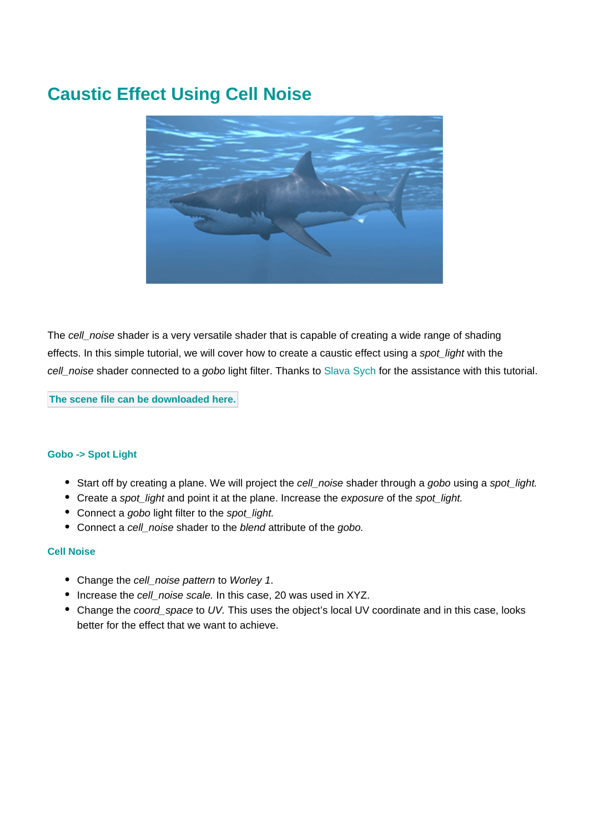## **Caustic Effect Using Cell Noise**



The cell\_noise shader is a very versatile shader that is capable of creating a wide range of shading effects. In this simple tutorial, we will cover how to create a caustic effect using a spot\_light with the cell\_noise shader connected to a gobo light filter. Thanks to [Slava Sych](https://cgrenderdna.blogspot.com/) for the assistance with this tutorial.

**The scene file can be downloaded [here.](https://docs.arnoldrenderer.com/download/attachments/76808602/cell_noise-caustic-user-guide.zip?version=1&modificationDate=1535966843000&api=v2)**

## **Gobo -> Spot Light**

- Start off by creating a plane. We will project the cell noise shader through a gobo using a spot light.
- Create a spot light and point it at the plane. Increase the exposure of the spot light.
- Connect a gobo light filter to the spot light.
- Connect a cell noise shader to the blend attribute of the gobo.

## **Cell Noise**

- Change the cell\_noise pattern to Worley 1.
- Increase the cell\_noise scale. In this case, 20 was used in XYZ.
- Change the coord\_space to UV. This uses the object's local UV coordinate and in this case, looks better for the effect that we want to achieve.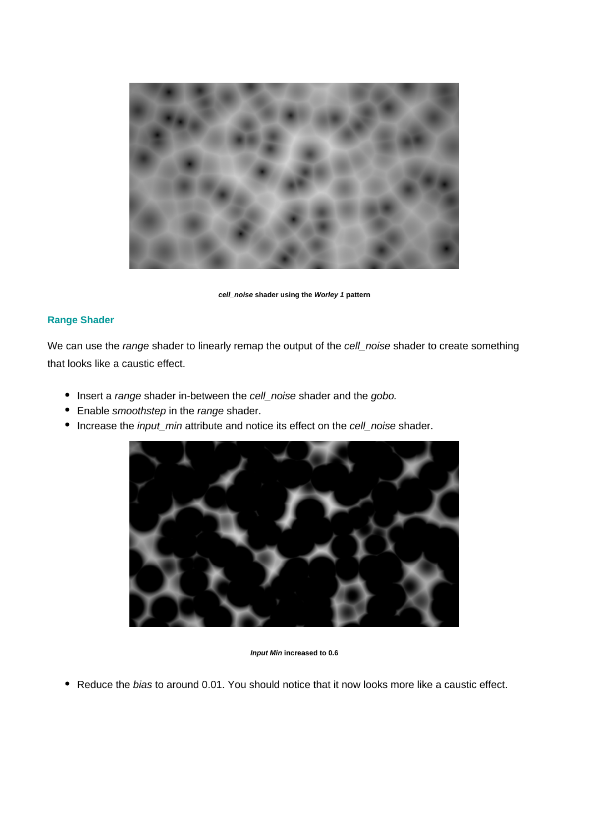

**cell\_noise shader using the Worley 1 pattern**

## **Range Shader**

We can use the range shader to linearly remap the output of the cell\_noise shader to create something that looks like a caustic effect.

- Insert a range shader in-between the cell\_noise shader and the gobo.
- Enable smoothstep in the range shader.
- Increase the *input\_min* attribute and notice its effect on the cell\_noise shader.



**Input Min increased to 0.6**

• Reduce the bias to around 0.01. You should notice that it now looks more like a caustic effect.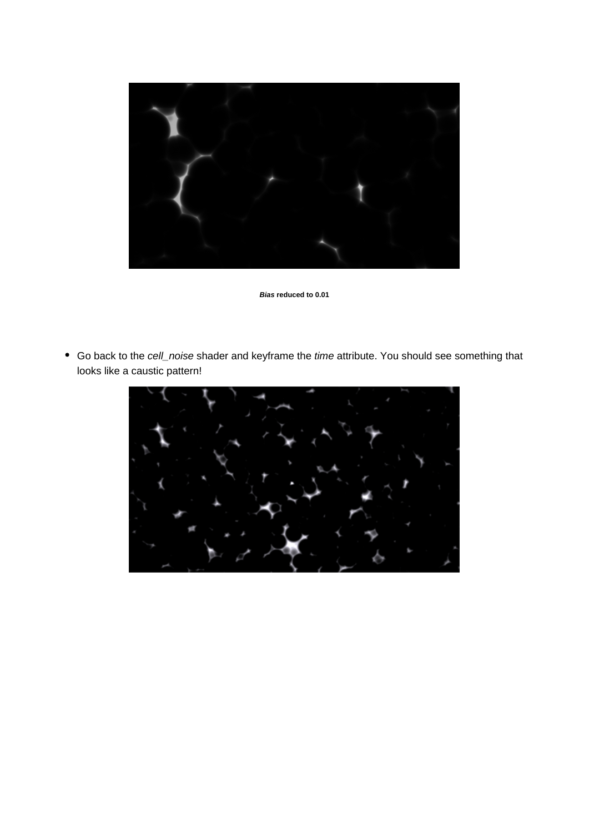

**Bias reduced to 0.01**

Go back to the cell\_noise shader and keyframe the time attribute. You should see something that looks like a caustic pattern!